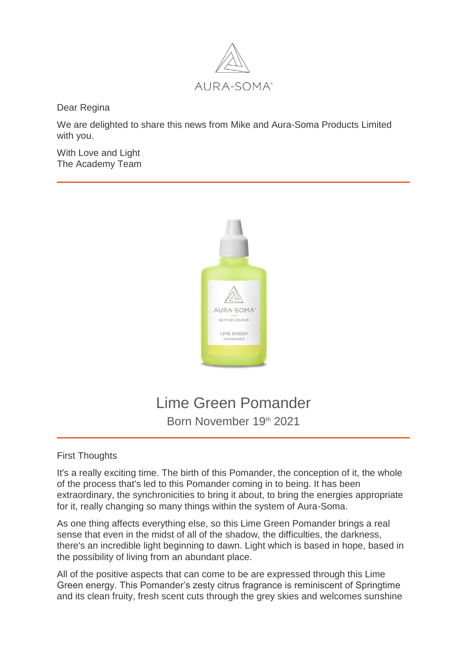

Dear Regina

We are delighted to share this news from Mike and Aura-Soma Products Limited with you.

With Love and Light The Academy Team



## Lime Green Pomander Born November 19th 2021

## First Thoughts

It's a really exciting time. The birth of this Pomander, the conception of it, the whole of the process that's led to this Pomander coming in to being. It has been extraordinary, the synchronicities to bring it about, to bring the energies appropriate for it, really changing so many things within the system of Aura-Soma.

As one thing affects everything else, so this Lime Green Pomander brings a real sense that even in the midst of all of the shadow, the difficulties, the darkness, there's an incredible light beginning to dawn. Light which is based in hope, based in the possibility of living from an abundant place.

All of the positive aspects that can come to be are expressed through this Lime Green energy. This Pomander's zesty citrus fragrance is reminiscent of Springtime and its clean fruity, fresh scent cuts through the grey skies and welcomes sunshine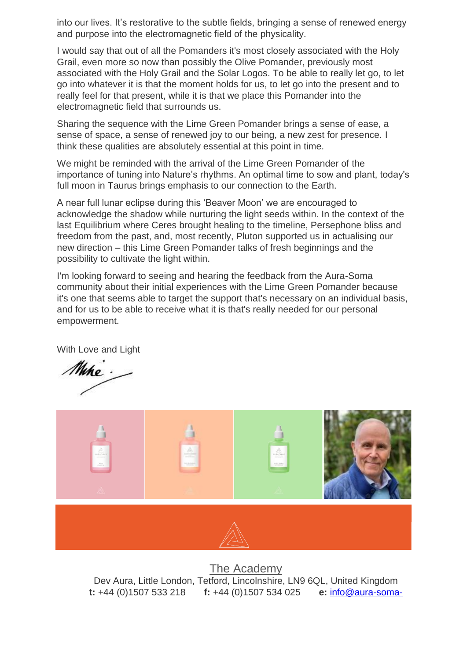into our lives. It's restorative to the subtle fields, bringing a sense of renewed energy and purpose into the electromagnetic field of the physicality.

I would say that out of all the Pomanders it's most closely associated with the Holy Grail, even more so now than possibly the Olive Pomander, previously most associated with the Holy Grail and the Solar Logos. To be able to really let go, to let go into whatever it is that the moment holds for us, to let go into the present and to really feel for that present, while it is that we place this Pomander into the electromagnetic field that surrounds us.

Sharing the sequence with the Lime Green Pomander brings a sense of ease, a sense of space, a sense of renewed joy to our being, a new zest for presence. I think these qualities are absolutely essential at this point in time.

We might be reminded with the arrival of the Lime Green Pomander of the importance of tuning into Nature's rhythms. An optimal time to sow and plant, today's full moon in Taurus brings emphasis to our connection to the Earth.

A near full lunar eclipse during this 'Beaver Moon' we are encouraged to acknowledge the shadow while nurturing the light seeds within. In the context of the last Equilibrium where Ceres brought healing to the timeline, Persephone bliss and freedom from the past, and, most recently, Pluton supported us in actualising our new direction – this Lime Green Pomander talks of fresh beginnings and the possibility to cultivate the light within.

I'm looking forward to seeing and hearing the feedback from the Aura-Soma community about their initial experiences with the Lime Green Pomander because it's one that seems able to target the support that's necessary on an individual basis, and for us to be able to receive what it is that's really needed for our personal empowerment.

With Love and Light

Miho.



[The Academy](https://lnk.ie/5HGLR/e=info@dolfosan.de/https:/aurasoma.co/2Wa8c4g) Dev Aura, Little London, Tetford, Lincolnshire, LN9 6QL, United Kingdom **t:** +44 (0)1507 533 218 **f:** +44 (0)1507 534 025 **e:** [info@aura-soma-](mailto:info@aura-soma-academy.net)